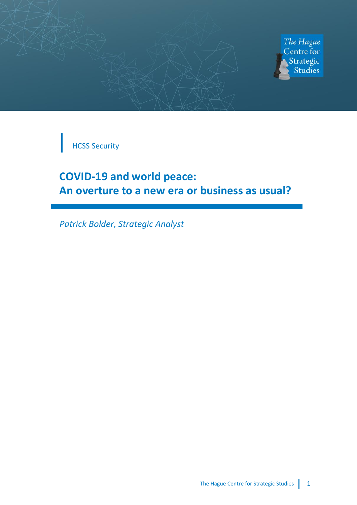



HCSS Security

# **COVID-19 and world peace: An overture to a new era or business as usual?**

*Patrick Bolder, Strategic Analyst*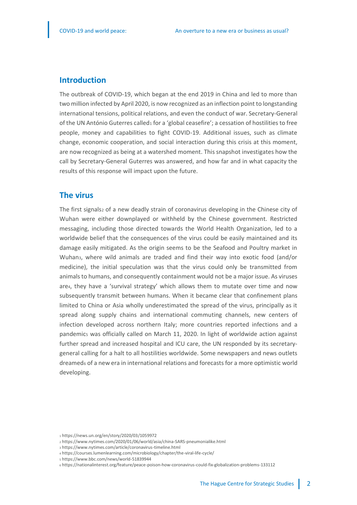#### **Introduction**

The outbreak of COVID-19, which began at the end 2019 in China and led to more than two million infected by April 2020, is now recognized as an inflection point to longstanding international tensions, political relations, and even the conduct of war. Secretary-General of the UN António Guterres called<sub>1</sub> for a 'global ceasefire'; a cessation of hostilities to free people, money and capabilities to fight COVID-19. Additional issues, such as climate change, economic cooperation, and social interaction during this crisis at this moment, are now recognized as being at a watershed moment. This snapshot investigates how the call by Secretary-General Guterres was answered, and how far and in what capacity the results of this response will impact upon the future.

## **The virus**

The first signals<sub>2</sub> of a new deadly strain of coronavirus developing in the Chinese city of Wuhan were either downplayed or withheld by the Chinese government. Restricted messaging, including those directed towards the World Health Organization, led to a worldwide belief that the consequences of the virus could be easily maintained and its damage easily mitigated. As the origin seems to be the Seafood and Poultry market in Wuhan3, where wild animals are traded and find their way into exotic food (and/or medicine), the initial speculation was that the virus could only be transmitted from animals to humans, and consequently containment would not be a major issue. As viruses are4, they have a 'survival strategy' which allows them to mutate over time and now subsequently transmit between humans. When it became clear that confinement plans limited to China or Asia wholly underestimated the spread of the virus, principally as it spread along supply chains and international commuting channels, new centers of infection developed across northern Italy; more countries reported infections and a pandemics was officially called on March 11, 2020. In light of worldwide action against further spread and increased hospital and ICU care, the UN responded by its secretarygeneral calling for a halt to all hostilities worldwide. Some newspapers and news outlets dreamed<sup>6</sup> of a new era in international relations and forecasts for a more optimistic world developing.

<sup>1</sup> https://news.un.org/en/story/2020/03/1059972

<sup>2</sup> https://www.nytimes.com/2020/01/06/world/asia/china-SARS-pneumonialike.html

<sup>3</sup> https://www.nytimes.com/article/coronavirus-timeline.html

<sup>4</sup> https://courses.lumenlearning.com/microbiology/chapter/the-viral-life-cycle/

<sup>5</sup> https://www.bbc.com/news/world-51839944

<sup>6</sup> https://nationalinterest.org/feature/peace-poison-how-coronavirus-could-fix-globalization-problems-133112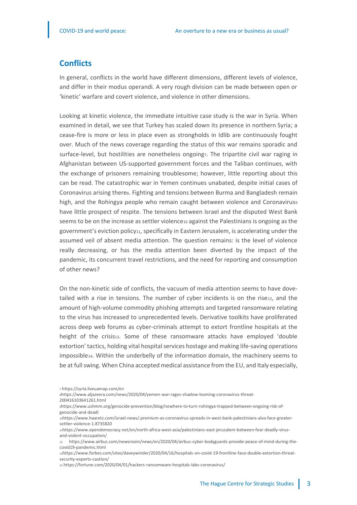## **Conflicts**

In general, conflicts in the world have different dimensions, different levels of violence, and differ in their modus operandi. A very rough division can be made between open or 'kinetic' warfare and covert violence, and violence in other dimensions.

Looking at kinetic violence, the immediate intuitive case study is the war in Syria. When examined in detail, we see that Turkey has scaled down its presence in northern Syria; a cease-fire is more or less in place even as strongholds in Idlib are continuously fought over. Much of the news coverage regarding the status of this war remains sporadic and surface-level, but hostilities are nonetheless ongoingz. The tripartite civil war raging in Afghanistan between US-supported government forces and the Taliban continues, with the exchange of prisoners remaining troublesome; however, little reporting about this can be read. The catastrophic war in Yemen continues unabated, despite initial cases of Coronavirus arising theres. Fighting and tensions between Burma and Bangladesh remain high, and the Rohingya people who remain caught between violence and Coronavirus, have little prospect of respite. The tensions between Israel and the disputed West Bank seems to be on the increase as settler violence10 against the Palestinians is ongoing as the government's eviction policy<sub>11</sub>, specifically in Eastern Jerusalem, is accelerating under the assumed veil of absent media attention. The question remains: is the level of violence really decreasing, or has the media attention been diverted by the impact of the pandemic, its concurrent travel restrictions, and the need for reporting and consumption of other news?

On the non-kinetic side of conflicts, the vacuum of media attention seems to have dovetailed with a rise in tensions. The number of cyber incidents is on the rise12, and the amount of high-volume commodity phishing attempts and targeted ransomware relating to the virus has increased to unprecedented levels. Derivative toolkits have proliferated across deep web forums as cyber-criminals attempt to extort frontline hospitals at the height of the crisis13. Some of these ransomware attacks have employed 'double extortion' tactics, holding vital hospital services hostage and making life-saving operations impossible14. Within the underbelly of the information domain, the machinery seems to be at full swing. When China accepted medical assistance from the EU, and Italy especially,

8https://www.aljazeera.com/news/2020/04/yemen-war-rages-shadow-looming-coronavirus-threat-

9https://www.ushmm.org/genocide-prevention/blog/nowhere-to-turn-rohingya-trapped-between-ongoing-risk-ofgenocide-and-deadl

<sup>7</sup> https://syria.liveuamap.com/en

<sup>200416103641261.</sup>html

<sup>10</sup>https://www.haaretz.com/israel-news/.premium-as-coronavirus-spreads-in-west-bank-palestinians-also-face-greatersettler-violence-1.8735820

<sup>11</sup>https://www.opendemocracy.net/en/north-africa-west-asia/palestinians-east-jerusalem-between-fear-deadly-virusand-violent-occupation/

<sup>12</sup> https://www.airbus.com/newsroom/news/en/2020/04/airbus-cyber-bodyguards-provide-peace-of-mind-during-thecovid19-pandemic.html

<sup>13</sup>https://www.forbes.com/sites/daveywinder/2020/04/16/hospitals-on-covid-19-frontline-face-double-extortion-threatsecurity-experts-caution/

<sup>14</sup> https://fortune.com/2020/04/01/hackers-ransomware-hospitals-labs-coronavirus/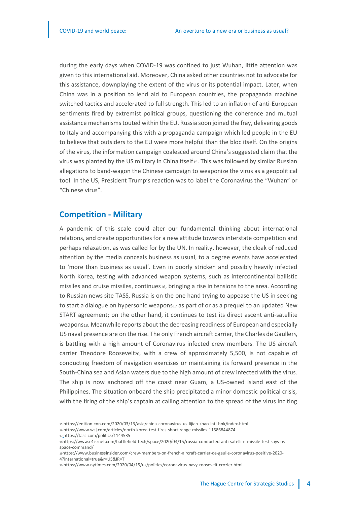during the early days when COVID-19 was confined to just Wuhan, little attention was given to this international aid. Moreover, China asked other countries not to advocate for this assistance, downplaying the extent of the virus or its potential impact. Later, when China was in a position to lend aid to European countries, the propaganda machine switched tactics and accelerated to full strength. This led to an inflation of anti-European sentiments fired by extremist political groups, questioning the coherence and mutual assistance mechanisms touted within the EU. Russia soon joined the fray, delivering goods to Italy and accompanying this with a propaganda campaign which led people in the EU to believe that outsiders to the EU were more helpful than the bloc itself. On the origins of the virus, the information campaign coalesced around China's suggested claim that the virus was planted by the US military in China itself<sub>15</sub>. This was followed by similar Russian allegations to band-wagon the Chinese campaign to weaponize the virus as a geopolitical tool. In the US, President Trump's reaction was to label the Coronavirus the "Wuhan" or "Chinese virus".

### **Competition - Military**

A pandemic of this scale could alter our fundamental thinking about international relations, and create opportunities for a new attitude towards interstate competition and perhaps relaxation, as was called for by the UN. In reality, however, the cloak of reduced attention by the media conceals business as usual, to a degree events have accelerated to 'more than business as usual'. Even in poorly stricken and possibly heavily infected North Korea, testing with advanced weapon systems, such as intercontinental ballistic missiles and cruise missiles, continues16, bringing a rise in tensions to the area. According to Russian news site TASS, Russia is on the one hand trying to appease the US in seeking to start a dialogue on hypersonic weapons17 as part of or as a prequel to an updated New START agreement; on the other hand, it continues to test its direct ascent anti-satellite weapons18. Meanwhile reports about the decreasing readiness of European and especially US naval presence are on the rise. The only French aircraft carrier, the Charles de Gaulle19, is battling with a high amount of Coronavirus infected crew members. The US aircraft carrier Theodore Rooseveltzo, with a crew of approximately 5,500, is not capable of conducting freedom of navigation exercises or maintaining its forward presence in the South-China sea and Asian waters due to the high amount of crew infected with the virus. The ship is now anchored off the coast near Guam, a US-owned island east of the Philippines. The situation onboard the ship precipitated a minor domestic political crisis, with the firing of the ship's captain at calling attention to the spread of the virus inciting

<sup>15</sup> https://edition.cnn.com/2020/03/13/asia/china-coronavirus-us-lijian-zhao-intl-hnk/index.html

<sup>16</sup> https://www.wsj.com/articles/north-korea-test-fires-short-range-missiles-11586844874

<sup>17</sup> https://tass.com/politics/1144535

<sup>18</sup>https://www.c4isrnet.com/battlefield-tech/space/2020/04/15/russia-conducted-anti-satellite-missile-test-says-usspace-command/

<sup>19</sup>https://www.businessinsider.com/crew-members-on-french-aircraft-carrier-de-gaulle-coronavirus-positive-2020- 4?international=true&r=US&IR=T

<sup>20</sup> https://www.nytimes.com/2020/04/15/us/politics/coronavirus-navy-roosevelt-crozier.html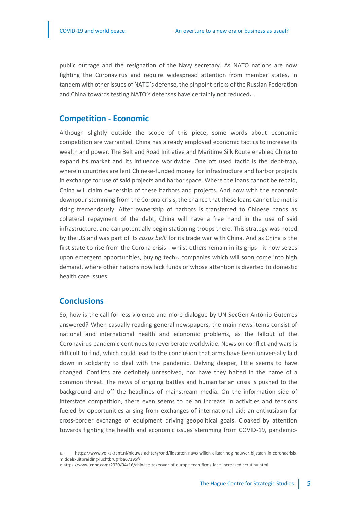public outrage and the resignation of the Navy secretary. As NATO nations are now fighting the Coronavirus and require widespread attention from member states, in tandem with other issues of NATO's defense, the pinpoint pricks of the Russian Federation and China towards testing NATO's defenses have certainly not reduced21.

### **Competition - Economic**

Although slightly outside the scope of this piece, some words about economic competition are warranted. China has already employed economic tactics to increase its wealth and power. The Belt and Road Initiative and Maritime Silk Route enabled China to expand its market and its influence worldwide. One oft used tactic is the debt-trap, wherein countries are lent Chinese-funded money for infrastructure and harbor projects in exchange for use of said projects and harbor space. Where the loans cannot be repaid, China will claim ownership of these harbors and projects. And now with the economic downpour stemming from the Corona crisis, the chance that these loans cannot be met is rising tremendously. After ownership of harbors is transferred to Chinese hands as collateral repayment of the debt, China will have a free hand in the use of said infrastructure, and can potentially begin stationing troops there. This strategy was noted by the US and was part of its *casus belli* for its trade war with China. And as China is the first state to rise from the Corona crisis - whilst others remain in its grips - it now seizes upon emergent opportunities, buying tech22 companies which will soon come into high demand, where other nations now lack funds or whose attention is diverted to domestic health care issues.

## **Conclusions**

So, how is the call for less violence and more dialogue by UN SecGen António Guterres answered? When casually reading general newspapers, the main news items consist of national and international health and economic problems, as the fallout of the Coronavirus pandemic continues to reverberate worldwide. News on conflict and wars is difficult to find, which could lead to the conclusion that arms have been universally laid down in solidarity to deal with the pandemic. Delving deeper, little seems to have changed. Conflicts are definitely unresolved, nor have they halted in the name of a common threat. The news of ongoing battles and humanitarian crisis is pushed to the background and off the headlines of mainstream media. On the information side of interstate competition, there even seems to be an increase in activities and tensions fueled by opportunities arising from exchanges of international aid; an enthusiasm for cross-border exchange of equipment driving geopolitical goals. Cloaked by attention towards fighting the health and economic issues stemming from COVID-19, pandemic-

<sup>21</sup> https://www.volkskrant.nl/nieuws-achtergrond/lidstaten-navo-willen-elkaar-nog-nauwer-bijstaan-in-coronacrisismiddels-uitbreiding-luchtbrug~ba67195f/

<sup>22</sup> https://www.cnbc.com/2020/04/16/chinese-takeover-of-europe-tech-firms-face-increased-scrutiny.html